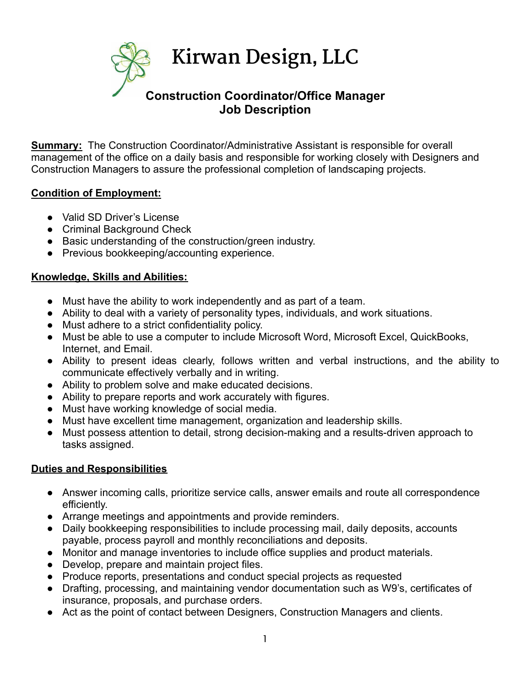

**Summary:** The Construction Coordinator/Administrative Assistant is responsible for overall management of the office on a daily basis and responsible for working closely with Designers and Construction Managers to assure the professional completion of landscaping projects.

## **Condition of Employment:**

- Valid SD Driver's License
- Criminal Background Check
- Basic understanding of the construction/green industry.
- Previous bookkeeping/accounting experience.

## **Knowledge, Skills and Abilities:**

- Must have the ability to work independently and as part of a team.
- Ability to deal with a variety of personality types, individuals, and work situations.
- Must adhere to a strict confidentiality policy.
- Must be able to use a computer to include Microsoft Word, Microsoft Excel, QuickBooks, Internet, and Email.
- Ability to present ideas clearly, follows written and verbal instructions, and the ability to communicate effectively verbally and in writing.
- Ability to problem solve and make educated decisions.
- Ability to prepare reports and work accurately with figures.
- Must have working knowledge of social media.
- Must have excellent time management, organization and leadership skills.
- Must possess attention to detail, strong decision-making and a results-driven approach to tasks assigned.

## **Duties and Responsibilities**

- Answer incoming calls, prioritize service calls, answer emails and route all correspondence efficiently.
- Arrange meetings and appointments and provide reminders.
- Daily bookkeeping responsibilities to include processing mail, daily deposits, accounts payable, process payroll and monthly reconciliations and deposits.
- Monitor and manage inventories to include office supplies and product materials.
- Develop, prepare and maintain project files.
- Produce reports, presentations and conduct special projects as requested
- Drafting, processing, and maintaining vendor documentation such as W9's, certificates of insurance, proposals, and purchase orders.
- Act as the point of contact between Designers, Construction Managers and clients.